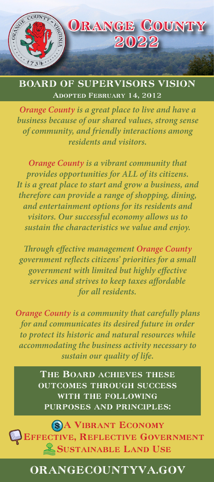

BOARD OF SUPERVISORS VISION adopted February 14, 2012

*Orange County is a great place to live and have a business because of our shared values, strong sense of community, and friendly interactions among residents and visitors.* 

*Orange County is a vibrant community that provides opportunities for ALL of its citizens. It is a great place to start and grow a business, and therefore can provide a range of shopping, dining, and entertainment options for its residents and visitors. Our successful economy allows us to sustain the characteristics we value and enjoy.*

*Through effective management Orange County government reflects citizens' priorities for a small government with limited but highly effective services and strives to keep taxes affordable for all residents.*

*Orange County is a community that carefully plans for and communicates its desired future in order to protect its historic and natural resources while accommodating the business activity necessary to sustain our quality of life.* 

> THE BOARD ACHIEVES THESE outcomes through success with the following purposes and principles:

**SA VIBRANT ECONOMY** EFFECTIVE, REFLECTIVE GOVERNMENT **SUSTAINABLE LAND USE** 

# ORANGECOUNTYVA.GOV